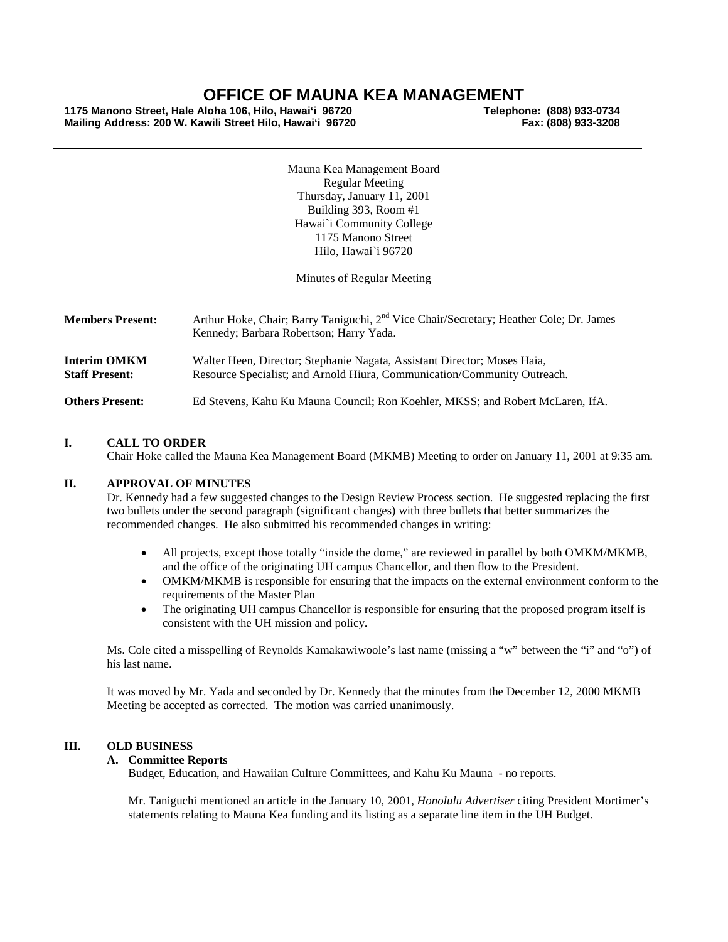# **OFFICE OF MAUNA KEA MANAGEMENT**

**1175 Manono Street, Hale Aloha 106, Hilo, Hawai'i 96720 Telephone: (808) 933-0734 Mailing Address: 200 W. Kawili Street Hilo, Hawai'i 96720** 

Mauna Kea Management Board Regular Meeting Thursday, January 11, 2001 Building 393, Room #1 Hawai`i Community College 1175 Manono Street Hilo, Hawai`i 96720

# Minutes of Regular Meeting

| <b>Members Present:</b>                      | Arthur Hoke, Chair; Barry Taniguchi, 2 <sup>nd</sup> Vice Chair/Secretary; Heather Cole; Dr. James<br>Kennedy; Barbara Robertson; Harry Yada.        |
|----------------------------------------------|------------------------------------------------------------------------------------------------------------------------------------------------------|
| <b>Interim OMKM</b><br><b>Staff Present:</b> | Walter Heen, Director; Stephanie Nagata, Assistant Director; Moses Haia,<br>Resource Specialist; and Arnold Hiura, Communication/Community Outreach. |
| <b>Others Present:</b>                       | Ed Stevens, Kahu Ku Mauna Council; Ron Koehler, MKSS; and Robert McLaren, IfA.                                                                       |

# **I. CALL TO ORDER**

Chair Hoke called the Mauna Kea Management Board (MKMB) Meeting to order on January 11, 2001 at 9:35 am.

# **II. APPROVAL OF MINUTES**

Dr. Kennedy had a few suggested changes to the Design Review Process section. He suggested replacing the first two bullets under the second paragraph (significant changes) with three bullets that better summarizes the recommended changes. He also submitted his recommended changes in writing:

- All projects, except those totally "inside the dome," are reviewed in parallel by both OMKM/MKMB, and the office of the originating UH campus Chancellor, and then flow to the President.
- OMKM/MKMB is responsible for ensuring that the impacts on the external environment conform to the requirements of the Master Plan
- The originating UH campus Chancellor is responsible for ensuring that the proposed program itself is consistent with the UH mission and policy.

Ms. Cole cited a misspelling of Reynolds Kamakawiwoole's last name (missing a "w" between the "i" and "o") of his last name.

It was moved by Mr. Yada and seconded by Dr. Kennedy that the minutes from the December 12, 2000 MKMB Meeting be accepted as corrected. The motion was carried unanimously.

# **III. OLD BUSINESS**

#### **A. Committee Reports**

Budget, Education, and Hawaiian Culture Committees, and Kahu Ku Mauna - no reports.

Mr. Taniguchi mentioned an article in the January 10, 2001, *Honolulu Advertiser* citing President Mortimer's statements relating to Mauna Kea funding and its listing as a separate line item in the UH Budget.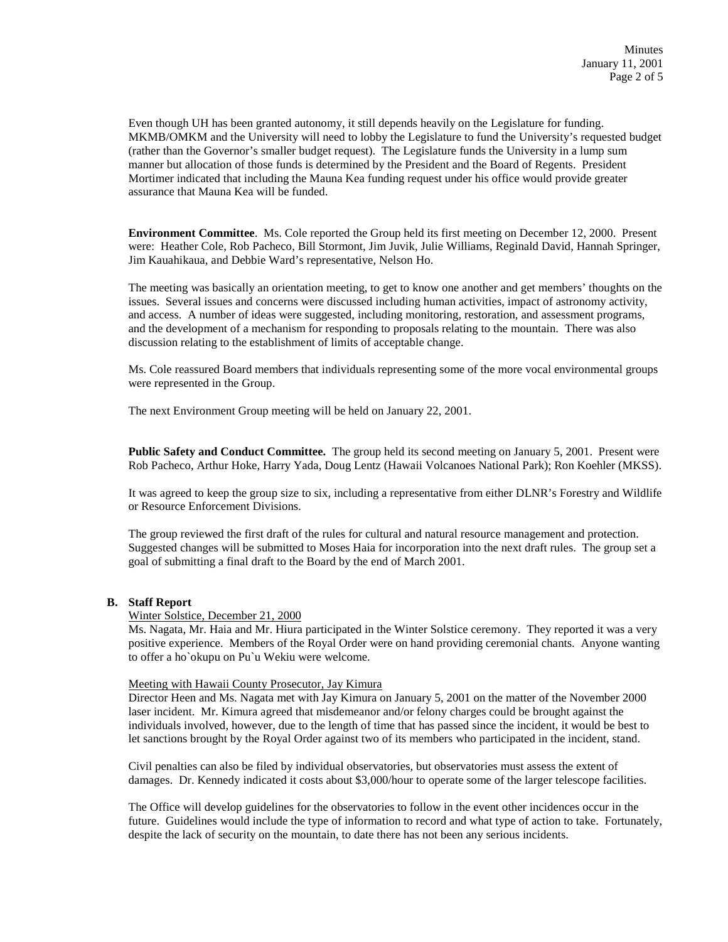Even though UH has been granted autonomy, it still depends heavily on the Legislature for funding. MKMB/OMKM and the University will need to lobby the Legislature to fund the University's requested budget (rather than the Governor's smaller budget request). The Legislature funds the University in a lump sum manner but allocation of those funds is determined by the President and the Board of Regents. President Mortimer indicated that including the Mauna Kea funding request under his office would provide greater assurance that Mauna Kea will be funded.

**Environment Committee**. Ms. Cole reported the Group held its first meeting on December 12, 2000. Present were: Heather Cole, Rob Pacheco, Bill Stormont, Jim Juvik, Julie Williams, Reginald David, Hannah Springer, Jim Kauahikaua, and Debbie Ward's representative, Nelson Ho.

The meeting was basically an orientation meeting, to get to know one another and get members' thoughts on the issues. Several issues and concerns were discussed including human activities, impact of astronomy activity, and access. A number of ideas were suggested, including monitoring, restoration, and assessment programs, and the development of a mechanism for responding to proposals relating to the mountain. There was also discussion relating to the establishment of limits of acceptable change.

Ms. Cole reassured Board members that individuals representing some of the more vocal environmental groups were represented in the Group.

The next Environment Group meeting will be held on January 22, 2001.

**Public Safety and Conduct Committee.** The group held its second meeting on January 5, 2001. Present were Rob Pacheco, Arthur Hoke, Harry Yada, Doug Lentz (Hawaii Volcanoes National Park); Ron Koehler (MKSS).

It was agreed to keep the group size to six, including a representative from either DLNR's Forestry and Wildlife or Resource Enforcement Divisions.

The group reviewed the first draft of the rules for cultural and natural resource management and protection. Suggested changes will be submitted to Moses Haia for incorporation into the next draft rules. The group set a goal of submitting a final draft to the Board by the end of March 2001.

## **B. Staff Report**

#### Winter Solstice, December 21, 2000

Ms. Nagata, Mr. Haia and Mr. Hiura participated in the Winter Solstice ceremony. They reported it was a very positive experience. Members of the Royal Order were on hand providing ceremonial chants. Anyone wanting to offer a ho`okupu on Pu`u Wekiu were welcome.

#### Meeting with Hawaii County Prosecutor, Jay Kimura

Director Heen and Ms. Nagata met with Jay Kimura on January 5, 2001 on the matter of the November 2000 laser incident. Mr. Kimura agreed that misdemeanor and/or felony charges could be brought against the individuals involved, however, due to the length of time that has passed since the incident, it would be best to let sanctions brought by the Royal Order against two of its members who participated in the incident, stand.

Civil penalties can also be filed by individual observatories, but observatories must assess the extent of damages. Dr. Kennedy indicated it costs about \$3,000/hour to operate some of the larger telescope facilities.

The Office will develop guidelines for the observatories to follow in the event other incidences occur in the future. Guidelines would include the type of information to record and what type of action to take. Fortunately, despite the lack of security on the mountain, to date there has not been any serious incidents.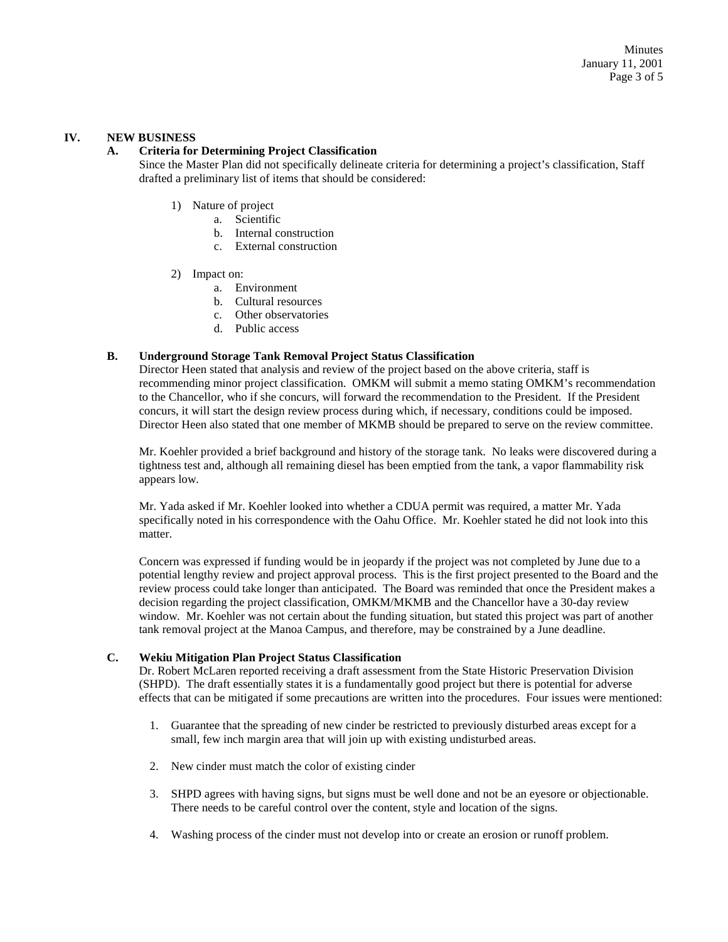# **IV. NEW BUSINESS**

# **A. Criteria for Determining Project Classification**

Since the Master Plan did not specifically delineate criteria for determining a project's classification, Staff drafted a preliminary list of items that should be considered:

- 1) Nature of project
	- a. Scientific
	- b. Internal construction
	- c. External construction
- 2) Impact on:
	- a. Environment
	- b. Cultural resources
	- c. Other observatories
	- d. Public access

# **B. Underground Storage Tank Removal Project Status Classification**

Director Heen stated that analysis and review of the project based on the above criteria, staff is recommending minor project classification. OMKM will submit a memo stating OMKM's recommendation to the Chancellor, who if she concurs, will forward the recommendation to the President. If the President concurs, it will start the design review process during which, if necessary, conditions could be imposed. Director Heen also stated that one member of MKMB should be prepared to serve on the review committee.

Mr. Koehler provided a brief background and history of the storage tank. No leaks were discovered during a tightness test and, although all remaining diesel has been emptied from the tank, a vapor flammability risk appears low.

Mr. Yada asked if Mr. Koehler looked into whether a CDUA permit was required, a matter Mr. Yada specifically noted in his correspondence with the Oahu Office. Mr. Koehler stated he did not look into this matter.

Concern was expressed if funding would be in jeopardy if the project was not completed by June due to a potential lengthy review and project approval process. This is the first project presented to the Board and the review process could take longer than anticipated. The Board was reminded that once the President makes a decision regarding the project classification, OMKM/MKMB and the Chancellor have a 30-day review window. Mr. Koehler was not certain about the funding situation, but stated this project was part of another tank removal project at the Manoa Campus, and therefore, may be constrained by a June deadline.

# **C. Wekiu Mitigation Plan Project Status Classification**

Dr. Robert McLaren reported receiving a draft assessment from the State Historic Preservation Division (SHPD). The draft essentially states it is a fundamentally good project but there is potential for adverse effects that can be mitigated if some precautions are written into the procedures. Four issues were mentioned:

- 1. Guarantee that the spreading of new cinder be restricted to previously disturbed areas except for a small, few inch margin area that will join up with existing undisturbed areas.
- 2. New cinder must match the color of existing cinder
- 3. SHPD agrees with having signs, but signs must be well done and not be an eyesore or objectionable. There needs to be careful control over the content, style and location of the signs.
- 4. Washing process of the cinder must not develop into or create an erosion or runoff problem.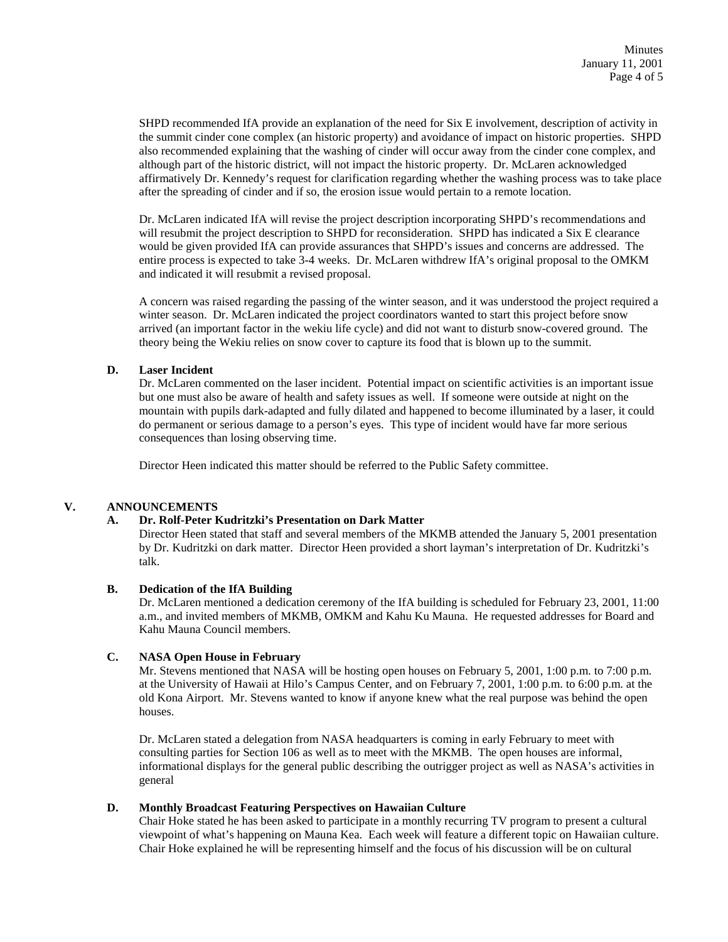SHPD recommended IfA provide an explanation of the need for Six E involvement, description of activity in the summit cinder cone complex (an historic property) and avoidance of impact on historic properties. SHPD also recommended explaining that the washing of cinder will occur away from the cinder cone complex, and although part of the historic district, will not impact the historic property. Dr. McLaren acknowledged affirmatively Dr. Kennedy's request for clarification regarding whether the washing process was to take place after the spreading of cinder and if so, the erosion issue would pertain to a remote location.

Dr. McLaren indicated IfA will revise the project description incorporating SHPD's recommendations and will resubmit the project description to SHPD for reconsideration. SHPD has indicated a Six E clearance would be given provided IfA can provide assurances that SHPD's issues and concerns are addressed. The entire process is expected to take 3-4 weeks. Dr. McLaren withdrew IfA's original proposal to the OMKM and indicated it will resubmit a revised proposal.

A concern was raised regarding the passing of the winter season, and it was understood the project required a winter season. Dr. McLaren indicated the project coordinators wanted to start this project before snow arrived (an important factor in the wekiu life cycle) and did not want to disturb snow-covered ground. The theory being the Wekiu relies on snow cover to capture its food that is blown up to the summit.

# **D. Laser Incident**

Dr. McLaren commented on the laser incident. Potential impact on scientific activities is an important issue but one must also be aware of health and safety issues as well. If someone were outside at night on the mountain with pupils dark-adapted and fully dilated and happened to become illuminated by a laser, it could do permanent or serious damage to a person's eyes. This type of incident would have far more serious consequences than losing observing time.

Director Heen indicated this matter should be referred to the Public Safety committee.

# **V. ANNOUNCEMENTS**

#### **A. Dr. Rolf-Peter Kudritzki's Presentation on Dark Matter**

Director Heen stated that staff and several members of the MKMB attended the January 5, 2001 presentation by Dr. Kudritzki on dark matter. Director Heen provided a short layman's interpretation of Dr. Kudritzki's talk.

## **B. Dedication of the IfA Building**

Dr. McLaren mentioned a dedication ceremony of the IfA building is scheduled for February 23, 2001, 11:00 a.m., and invited members of MKMB, OMKM and Kahu Ku Mauna. He requested addresses for Board and Kahu Mauna Council members.

#### **C. NASA Open House in February**

Mr. Stevens mentioned that NASA will be hosting open houses on February 5, 2001, 1:00 p.m. to 7:00 p.m. at the University of Hawaii at Hilo's Campus Center, and on February 7, 2001, 1:00 p.m. to 6:00 p.m. at the old Kona Airport. Mr. Stevens wanted to know if anyone knew what the real purpose was behind the open houses.

Dr. McLaren stated a delegation from NASA headquarters is coming in early February to meet with consulting parties for Section 106 as well as to meet with the MKMB. The open houses are informal, informational displays for the general public describing the outrigger project as well as NASA's activities in general

#### **D. Monthly Broadcast Featuring Perspectives on Hawaiian Culture**

Chair Hoke stated he has been asked to participate in a monthly recurring TV program to present a cultural viewpoint of what's happening on Mauna Kea. Each week will feature a different topic on Hawaiian culture. Chair Hoke explained he will be representing himself and the focus of his discussion will be on cultural